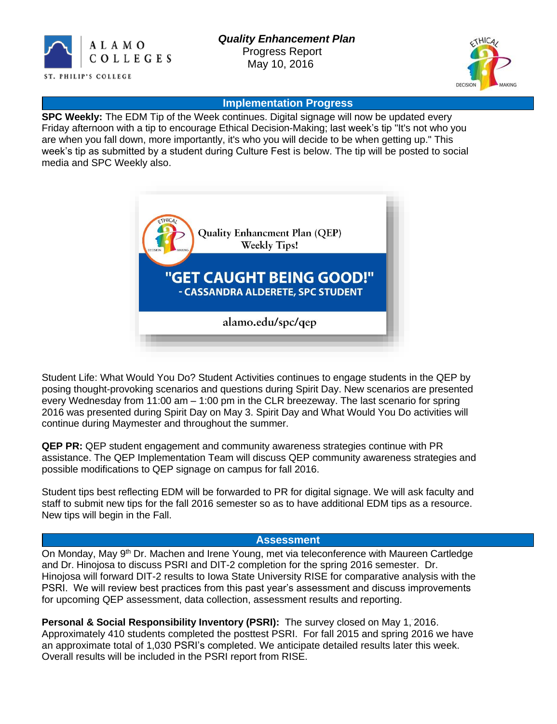



#### **Implementation Progress**

**SPC Weekly:** The EDM Tip of the Week continues. Digital signage will now be updated every Friday afternoon with a tip to encourage Ethical Decision-Making; last week's tip "It's not who you are when you fall down, more importantly, it's who you will decide to be when getting up." This week's tip as submitted by a student during Culture Fest is below. The tip will be posted to social media and SPC Weekly also.



Student Life: What Would You Do? Student Activities continues to engage students in the QEP by posing thought-provoking scenarios and questions during Spirit Day. New scenarios are presented every Wednesday from 11:00 am – 1:00 pm in the CLR breezeway. The last scenario for spring 2016 was presented during Spirit Day on May 3. Spirit Day and What Would You Do activities will continue during Maymester and throughout the summer.

**QEP PR:** QEP student engagement and community awareness strategies continue with PR assistance. The QEP Implementation Team will discuss QEP community awareness strategies and possible modifications to QEP signage on campus for fall 2016.

Student tips best reflecting EDM will be forwarded to PR for digital signage. We will ask faculty and staff to submit new tips for the fall 2016 semester so as to have additional EDM tips as a resource. New tips will begin in the Fall.

#### **Assessment**

On Monday, May 9<sup>th</sup> Dr. Machen and Irene Young, met via teleconference with Maureen Cartledge and Dr. Hinojosa to discuss PSRI and DIT-2 completion for the spring 2016 semester. Dr. Hinojosa will forward DIT-2 results to Iowa State University RISE for comparative analysis with the PSRI. We will review best practices from this past year's assessment and discuss improvements for upcoming QEP assessment, data collection, assessment results and reporting.

**Personal & Social Responsibility Inventory (PSRI):** The survey closed on May 1, , 2016. Approximately 410 students completed the posttest PSRI. For fall 2015 and spring 2016 we have an approximate total of 1,030 PSRI's completed. We anticipate detailed results later this week. Overall results will be included in the PSRI report from RISE.